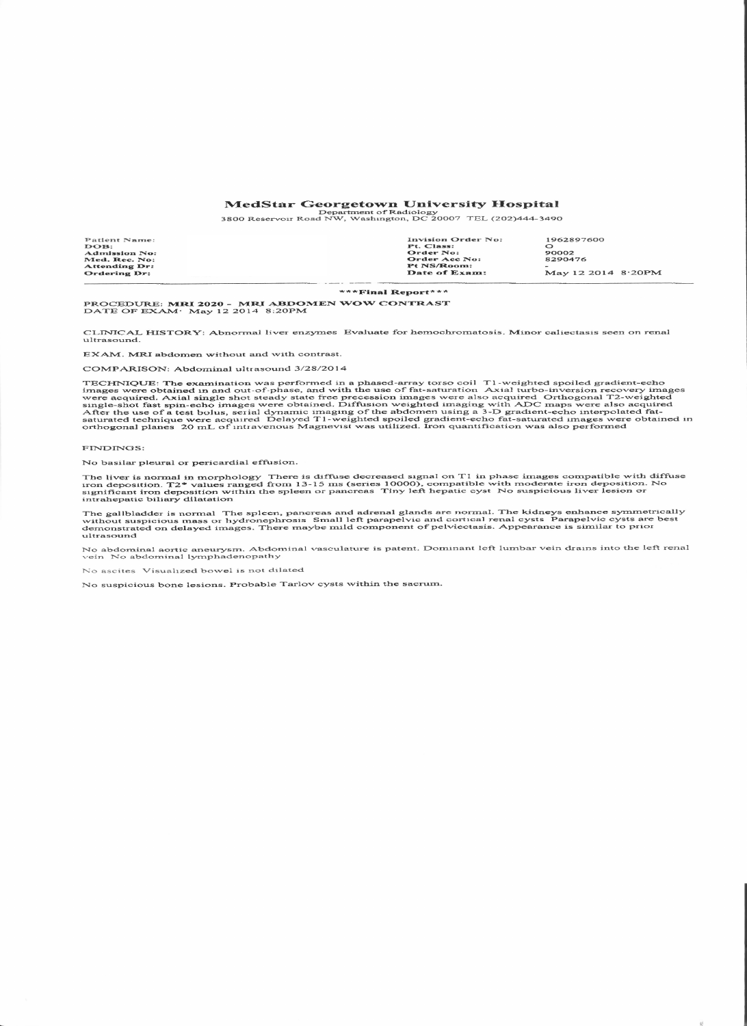## MedStar Georgetown University Hospital<br>Department of Radiology<br>3800 Reservoir Road NW, Washington, DC 20007 TEL (202)444-3490

| Patient Name:        | <b>Invision Order No:</b> | 1962897600         |
|----------------------|---------------------------|--------------------|
| DOB:                 | Pt. Class:                |                    |
| <b>Admission No:</b> | Order No:                 | 90002              |
| Med. Rec. No:        | Order Acc No:             | 8290476            |
| Attending Dr:        | <b>Pt NS/Room:</b>        |                    |
| Ordering Dr:         | Date of Exam:             | May 12 2014 8:20PM |
|                      |                           |                    |

\*\*\*Final Report\*\*\*

PROCEDURE: MRI 2020 - MRI ABDOMEN WOW CONTRAST<br>DATE OF EXAM· May 12 2014 8:20PM

CLINICAL HISTORY: Abnormal liver enzymes Evaluate for hemochromatosis. Minor caliectasis seen on renal ultrasound.

EXAM. MRI abdomen without and with contrast.

COMPARISON: Abdominal ultrasound 3/28/2014

TECHNIQUE: The examination was performed in a phased-array torso coil T1-weighted spoiled gradient-echo images were obtained in and out-of-phase, and with the use of fat-saturation Axial turbo-inversion recovery images wer

## FINDINGS:

No basilar pleural or pericardial effusion.

The liver is normal in morphology There is diffuse decreased signal on T1 in phase images compatible with diffuse<br>iron deposition. T2\* values ranged from 13-15 ms (series 10000), compatible with moderate iron deposition. N

The gallbladder is normal The spleen, pancreas and adrenal glands are normal. The kidneys enhance symmetrically<br>without suspicious mass or hydronephrosis Small left parapelvic and cortical renal cysts Parapelvic cysts are ultrasound

No abdominal aortic aneurysm. Abdominal vasculature is patent. Dominant left lumbar vein drains into the left renal<br>vein No abdominal lymphadenopathy

No ascites Visualized bowel is not dilated

No suspicious bone lesions. Probable Tarlov cysts within the sacrum.